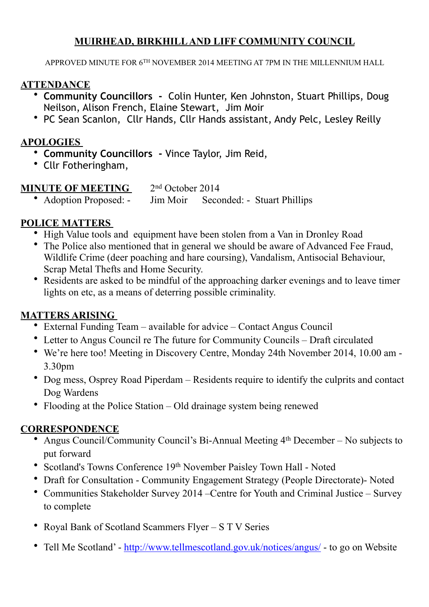### **MUIRHEAD, BIRKHILL AND LIFF COMMUNITY COUNCIL**

APPROVED MINUTE FOR 6TH NOVEMBER 2014 MEETING AT 7PM IN THE MILLENNIUM HALL

### **ATTENDANCE**

- **Community Councillors** Colin Hunter, Ken Johnston, Stuart Phillips, Doug Neilson, Alison French, Elaine Stewart, Jim Moir
- PC Sean Scanlon, Cllr Hands, Cllr Hands assistant, Andy Pelc, Lesley Reilly

#### **APOLOGIES**

- **Community Councillors** Vince Taylor, Jim Reid,
- Cllr Fotheringham,

### **MINUTE OF MEETING**  $2<sup>nd</sup> October 2014$

• Adoption Proposed: - Jim Moir Seconded: - Stuart Phillips

### **POLICE MATTERS**

- High Value tools and equipment have been stolen from a Van in Dronley Road
- The Police also mentioned that in general we should be aware of Advanced Fee Fraud, Wildlife Crime (deer poaching and hare coursing), Vandalism, Antisocial Behaviour, Scrap Metal Thefts and Home Security.
- Residents are asked to be mindful of the approaching darker evenings and to leave timer lights on etc, as a means of deterring possible criminality.

### **MATTERS ARISING**

- External Funding Team available for advice Contact Angus Council
- Letter to Angus Council re The future for Community Councils Draft circulated
- We're here too! Meeting in Discovery Centre, Monday 24th November 2014, 10.00 am 3.30pm
- Dog mess, Osprey Road Piperdam Residents require to identify the culprits and contact Dog Wardens
- Flooding at the Police Station Old drainage system being renewed

### **CORRESPONDENCE**

- Angus Council/Community Council's Bi-Annual Meeting 4<sup>th</sup> December No subjects to put forward
- Scotland's Towns Conference 19th November Paisley Town Hall Noted
- Draft for Consultation Community Engagement Strategy (People Directorate)- Noted
- Communities Stakeholder Survey 2014 –Centre for Youth and Criminal Justice Survey to complete
- Royal Bank of Scotland Scammers Flyer S T V Series
- Tell Me Scotland' <http://www.tellmescotland.gov.uk/notices/angus/> to go on Website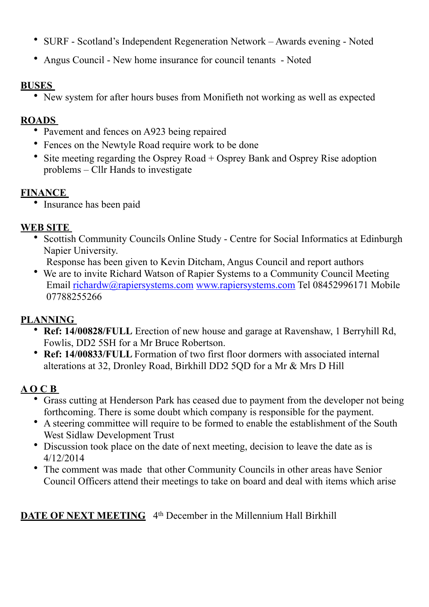- SURF Scotland's Independent Regeneration Network Awards evening Noted
- Angus Council [New home insurance for council tenants](http://www.angus.gov.uk/news/article/51/new_home_insurance_for_council_tenants) Noted

### **BUSES**

• New system for after hours buses from Monifieth not working as well as expected

### **ROADS**

- Pavement and fences on A923 being repaired
- Fences on the Newtyle Road require work to be done
- Site meeting regarding the Osprey Road + Osprey Bank and Osprey Rise adoption problems – Cllr Hands to investigate

### **FINANCE**

• Insurance has been paid

### **WEB SITE**

• Scottish Community Councils Online Study - Centre for Social Informatics at Edinburgh Napier University.

Response has been given to Kevin Ditcham, Angus Council and report authors

• We are to invite Richard Watson of Rapier Systems to a Community Council Meeting Email [richardw@rapiersystems.com](mailto:richardw@rapiersystems.com) [www.rapiersystems.com](http://www.rapiersystems.com) Tel 08452996171 Mobile 07788255266

# **PLANNING**

- **Ref: 14/00828/FULL** Erection of new house and garage at Ravenshaw, 1 Berryhill Rd, Fowlis, DD2 5SH for a Mr Bruce Robertson.
- **Ref: 14/00833/FULL** Formation of two first floor dormers with associated internal alterations at 32, Dronley Road, Birkhill DD2 5QD for a Mr & Mrs D Hill

# **A O C B**

- Grass cutting at Henderson Park has ceased due to payment from the developer not being forthcoming. There is some doubt which company is responsible for the payment.
- A steering committee will require to be formed to enable the establishment of the South West Sidlaw Development Trust
- Discussion took place on the date of next meeting, decision to leave the date as is 4/12/2014
- The comment was made that other Community Councils in other areas have Senior Council Officers attend their meetings to take on board and deal with items which arise

# **DATE OF NEXT MEETING** 4<sup>th</sup> December in the Millennium Hall Birkhill